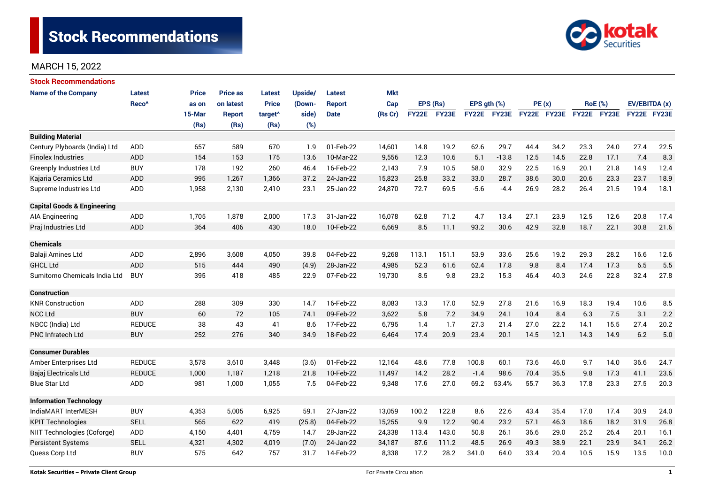

| <b>Stock Recommendations</b>           |                   |              |                 |                     |         |               |            |              |       |                  |             |             |      |                |      |               |      |
|----------------------------------------|-------------------|--------------|-----------------|---------------------|---------|---------------|------------|--------------|-------|------------------|-------------|-------------|------|----------------|------|---------------|------|
| <b>Name of the Company</b>             | <b>Latest</b>     | <b>Price</b> | <b>Price as</b> | <b>Latest</b>       | Upside/ | <b>Latest</b> | <b>Mkt</b> |              |       |                  |             |             |      |                |      |               |      |
|                                        | Reco <sup>^</sup> | as on        | on latest       | <b>Price</b>        | (Down-  | Report        | Cap        | EPS (Rs)     |       | EPS $qth$ $(\%)$ |             | PE(x)       |      | <b>RoE</b> (%) |      | EV/EBITDA (x) |      |
|                                        |                   | 15-Mar       | <b>Report</b>   | target <sup>^</sup> | side)   | <b>Date</b>   | (Rs Cr)    | <b>FY22E</b> | FY23E |                  | FY22E FY23E | FY22E FY23E |      | FY22E FY23E    |      | FY22E FY23E   |      |
|                                        |                   | (Rs)         | (Rs)            | (Rs)                | (%)     |               |            |              |       |                  |             |             |      |                |      |               |      |
| <b>Building Material</b>               |                   |              |                 |                     |         |               |            |              |       |                  |             |             |      |                |      |               |      |
| Century Plyboards (India) Ltd          | <b>ADD</b>        | 657          | 589             | 670                 | 1.9     | 01-Feb-22     | 14,601     | 14.8         | 19.2  | 62.6             | 29.7        | 44.4        | 34.2 | 23.3           | 24.0 | 27.4          | 22.5 |
| <b>Finolex Industries</b>              | <b>ADD</b>        | 154          | 153             | 175                 | 13.6    | 10-Mar-22     | 9,556      | 12.3         | 10.6  | 5.1              | $-13.8$     | 12.5        | 14.5 | 22.8           | 17.1 | 7.4           | 8.3  |
| <b>Greenply Industries Ltd</b>         | <b>BUY</b>        | 178          | 192             | 260                 | 46.4    | 16-Feb-22     | 2,143      | 7.9          | 10.5  | 58.0             | 32.9        | 22.5        | 16.9 | 20.1           | 21.8 | 14.9          | 12.4 |
| Kajaria Ceramics Ltd                   | <b>ADD</b>        | 995          | 1.267           | 1,366               | 37.2    | 24-Jan-22     | 15,823     | 25.8         | 33.2  | 33.0             | 28.7        | 38.6        | 30.0 | 20.6           | 23.3 | 23.7          | 18.9 |
| Supreme Industries Ltd                 | ADD               | 1,958        | 2,130           | 2,410               | 23.1    | 25-Jan-22     | 24,870     | 72.7         | 69.5  | $-5.6$           | $-4.4$      | 26.9        | 28.2 | 26.4           | 21.5 | 19.4          | 18.1 |
| <b>Capital Goods &amp; Engineering</b> |                   |              |                 |                     |         |               |            |              |       |                  |             |             |      |                |      |               |      |
| <b>AIA Engineering</b>                 | <b>ADD</b>        | 1,705        | 1,878           | 2,000               | 17.3    | 31-Jan-22     | 16,078     | 62.8         | 71.2  | 4.7              | 13.4        | 27.1        | 23.9 | 12.5           | 12.6 | 20.8          | 17.4 |
| Praj Industries Ltd                    | <b>ADD</b>        | 364          | 406             | 430                 | 18.0    | 10-Feb-22     | 6,669      | 8.5          | 11.1  | 93.2             | 30.6        | 42.9        | 32.8 | 18.7           | 22.1 | 30.8          | 21.6 |
| <b>Chemicals</b>                       |                   |              |                 |                     |         |               |            |              |       |                  |             |             |      |                |      |               |      |
| Balaji Amines Ltd                      | <b>ADD</b>        | 2,896        | 3,608           | 4,050               | 39.8    | 04-Feb-22     | 9,268      | 113.1        | 151.1 | 53.9             | 33.6        | 25.6        | 19.2 | 29.3           | 28.2 | 16.6          | 12.6 |
| <b>GHCL Ltd</b>                        | <b>ADD</b>        | 515          | 444             | 490                 | (4.9)   | 28-Jan-22     | 4,985      | 52.3         | 61.6  | 62.4             | 17.8        | 9.8         | 8.4  | 17.4           | 17.3 | 6.5           | 5.5  |
| Sumitomo Chemicals India Ltd           | <b>BUY</b>        | 395          | 418             | 485                 | 22.9    | 07-Feb-22     | 19,730     | 8.5          | 9.8   | 23.2             | 15.3        | 46.4        | 40.3 | 24.6           | 22.8 | 32.4          | 27.8 |
| <b>Construction</b>                    |                   |              |                 |                     |         |               |            |              |       |                  |             |             |      |                |      |               |      |
| <b>KNR Construction</b>                | <b>ADD</b>        | 288          | 309             | 330                 | 14.7    | 16-Feb-22     | 8,083      | 13.3         | 17.0  | 52.9             | 27.8        | 21.6        | 16.9 | 18.3           | 19.4 | 10.6          | 8.5  |
| <b>NCC Ltd</b>                         | <b>BUY</b>        | 60           | 72              | 105                 | 74.1    | 09-Feb-22     | 3,622      | 5.8          | 7.2   | 34.9             | 24.1        | 10.4        | 8.4  | 6.3            | 7.5  | 3.1           | 2.2  |
| NBCC (India) Ltd                       | <b>REDUCE</b>     | 38           | 43              | 41                  | 8.6     | 17-Feb-22     | 6,795      | 1.4          | 1.7   | 27.3             | 21.4        | 27.0        | 22.2 | 14.1           | 15.5 | 27.4          | 20.2 |
| <b>PNC Infratech Ltd</b>               | <b>BUY</b>        | 252          | 276             | 340                 | 34.9    | 18-Feb-22     | 6,464      | 17.4         | 20.9  | 23.4             | 20.1        | 14.5        | 12.1 | 14.3           | 14.9 | 6.2           | 5.0  |
| <b>Consumer Durables</b>               |                   |              |                 |                     |         |               |            |              |       |                  |             |             |      |                |      |               |      |
| Amber Enterprises Ltd                  | <b>REDUCE</b>     | 3,578        | 3,610           | 3,448               | (3.6)   | 01-Feb-22     | 12,164     | 48.6         | 77.8  | 100.8            | 60.1        | 73.6        | 46.0 | 9.7            | 14.0 | 36.6          | 24.7 |
| Bajaj Electricals Ltd                  | <b>REDUCE</b>     | 1,000        | 1,187           | 1,218               | 21.8    | 10-Feb-22     | 11,497     | 14.2         | 28.2  | $-1.4$           | 98.6        | 70.4        | 35.5 | 9.8            | 17.3 | 41.1          | 23.6 |
| <b>Blue Star Ltd</b>                   | <b>ADD</b>        | 981          | 1,000           | 1,055               | 7.5     | 04-Feb-22     | 9,348      | 17.6         | 27.0  | 69.2             | 53.4%       | 55.7        | 36.3 | 17.8           | 23.3 | 27.5          | 20.3 |
| <b>Information Technology</b>          |                   |              |                 |                     |         |               |            |              |       |                  |             |             |      |                |      |               |      |
| IndiaMART InterMESH                    | <b>BUY</b>        | 4,353        | 5,005           | 6,925               | 59.1    | 27-Jan-22     | 13,059     | 100.2        | 122.8 | 8.6              | 22.6        | 43.4        | 35.4 | 17.0           | 17.4 | 30.9          | 24.0 |
| <b>KPIT Technologies</b>               | <b>SELL</b>       |              | 622             | 419                 | (25.8)  | 04-Feb-22     | 15,255     | 9.9          | 12.2  | 90.4             | 23.2        | 57.1        | 46.3 | 18.6           | 18.2 | 31.9          | 26.8 |
| NIIT Technologies (Coforge)            | ADD               | 4,150        | 4,401           | 4,759               | 14.7    | 28-Jan-22     | 24,338     | 113.4        | 143.0 | 50.8             | 26.1        | 36.6        | 29.0 | 25.2           | 26.4 | 20.1          | 16.1 |
| <b>Persistent Systems</b>              | <b>SELL</b>       | 4,321        | 4,302           | 4,019               | (7.0)   | 24-Jan-22     | 34,187     | 87.6         | 111.2 | 48.5             | 26.9        | 49.3        | 38.9 | 22.1           | 23.9 | 34.1          | 26.2 |
| Quess Corp Ltd                         | <b>BUY</b>        | 575          | 642             | 757                 | 31.7    | 14-Feb-22     | 8,338      | 17.2         | 28.2  | 341.0            | 64.0        | 33.4        | 20.4 | 10.5           | 15.9 | 13.5          | 10.0 |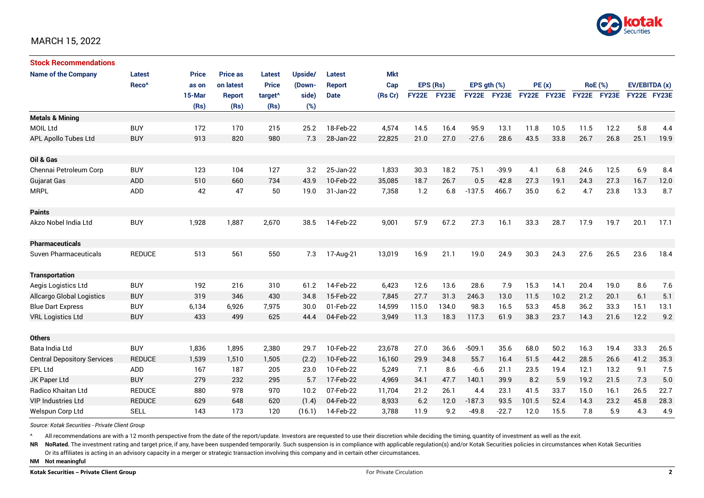

| <b>Stock Recommendations</b>       |                   |              |                 |                     |         |               |            |              |       |                  |             |             |      |                |             |               |      |
|------------------------------------|-------------------|--------------|-----------------|---------------------|---------|---------------|------------|--------------|-------|------------------|-------------|-------------|------|----------------|-------------|---------------|------|
| <b>Name of the Company</b>         | <b>Latest</b>     | <b>Price</b> | <b>Price as</b> | Latest              | Upside/ | <b>Latest</b> | <b>Mkt</b> |              |       |                  |             |             |      |                |             |               |      |
|                                    | Reco <sup>^</sup> | as on        | on latest       | <b>Price</b>        | (Down-  | <b>Report</b> | Cap        | EPS (Rs)     |       | EPS $qth$ $(\%)$ |             | PE(x)       |      | <b>RoE</b> (%) |             | EV/EBITDA (x) |      |
|                                    |                   | 15-Mar       | <b>Report</b>   | target <sup>^</sup> | side)   | <b>Date</b>   | (Rs Cr)    | <b>FY22E</b> | FY23E |                  | FY22E FY23E | FY22E FY23E |      |                | FY22E FY23E | FY22E FY23E   |      |
|                                    |                   | (Rs)         | (Rs)            | (Rs)                | (%)     |               |            |              |       |                  |             |             |      |                |             |               |      |
| <b>Metals &amp; Mining</b>         |                   |              |                 |                     |         |               |            |              |       |                  |             |             |      |                |             |               |      |
| <b>MOIL Ltd</b>                    | <b>BUY</b>        | 172          | 170             | 215                 | 25.2    | 18-Feb-22     | 4,574      | 14.5         | 16.4  | 95.9             | 13.1        | 11.8        | 10.5 | 11.5           | 12.2        | 5.8           | 4.4  |
| APL Apollo Tubes Ltd               | <b>BUY</b>        | 913          | 820             | 980                 | 7.3     | 28-Jan-22     | 22,825     | 21.0         | 27.0  | $-27.6$          | 28.6        | 43.5        | 33.8 | 26.7           | 26.8        | 25.1          | 19.9 |
|                                    |                   |              |                 |                     |         |               |            |              |       |                  |             |             |      |                |             |               |      |
| Oil & Gas                          |                   |              |                 |                     |         |               |            |              |       |                  |             |             |      |                |             |               |      |
| Chennai Petroleum Corp             | <b>BUY</b>        | 123          | 104             | 127                 | 3.2     | 25-Jan-22     | 1,833      | 30.3         | 18.2  | 75.1             | $-39.9$     | 4.1         | 6.8  | 24.6           | 12.5        | 6.9           | 8.4  |
| <b>Gujarat Gas</b>                 | <b>ADD</b>        | 510          | 660             | 734                 | 43.9    | 10-Feb-22     | 35,085     | 18.7         | 26.7  | 0.5              | 42.8        | 27.3        | 19.1 | 24.3           | 27.3        | 16.7          | 12.0 |
| <b>MRPL</b>                        | ADD               | 42           | 47              | 50                  | 19.0    | 31-Jan-22     | 7,358      | 1.2          | 6.8   | $-137.5$         | 466.7       | 35.0        | 6.2  | 4.7            | 23.8        | 13.3          | 8.7  |
| <b>Paints</b>                      |                   |              |                 |                     |         |               |            |              |       |                  |             |             |      |                |             |               |      |
| Akzo Nobel India Ltd               | <b>BUY</b>        | 1,928        | 1,887           | 2,670               | 38.5    | 14-Feb-22     | 9,001      | 57.9         | 67.2  | 27.3             | 16.1        | 33.3        | 28.7 | 17.9           | 19.7        | 20.1          | 17.1 |
| <b>Pharmaceuticals</b>             |                   |              |                 |                     |         |               |            |              |       |                  |             |             |      |                |             |               |      |
| Suven Pharmaceuticals              | <b>REDUCE</b>     | 513          | 561             | 550                 | 7.3     | 17-Aug-21     | 13,019     | 16.9         | 21.1  | 19.0             | 24.9        | 30.3        | 24.3 | 27.6           | 26.5        | 23.6          | 18.4 |
| <b>Transportation</b>              |                   |              |                 |                     |         |               |            |              |       |                  |             |             |      |                |             |               |      |
| Aegis Logistics Ltd                | <b>BUY</b>        | 192          | 216             | 310                 | 61.2    | 14-Feb-22     | 6,423      | 12.6         | 13.6  | 28.6             | 7.9         | 15.3        | 14.1 | 20.4           | 19.0        | 8.6           | 7.6  |
| <b>Allcargo Global Logistics</b>   | <b>BUY</b>        | 319          | 346             | 430                 | 34.8    | 15-Feb-22     | 7,845      | 27.7         | 31.3  | 246.3            | 13.0        | 11.5        | 10.2 | 21.2           | 20.1        | 6.1           | 5.1  |
| <b>Blue Dart Express</b>           | <b>BUY</b>        | 6,134        | 6,926           | 7,975               | 30.0    | 01-Feb-22     | 14,599     | 115.0        | 134.0 | 98.3             | 16.5        | 53.3        | 45.8 | 36.2           | 33.3        | 15.1          | 13.1 |
| <b>VRL Logistics Ltd</b>           | <b>BUY</b>        | 433          | 499             | 625                 | 44.4    | 04-Feb-22     | 3,949      | 11.3         | 18.3  | 117.3            | 61.9        | 38.3        | 23.7 | 14.3           | 21.6        | 12.2          | 9.2  |
|                                    |                   |              |                 |                     |         |               |            |              |       |                  |             |             |      |                |             |               |      |
| <b>Others</b>                      |                   |              |                 |                     |         |               |            |              |       |                  |             |             |      |                |             |               |      |
| Bata India Ltd                     | <b>BUY</b>        | 1,836        | 1,895           | 2,380               | 29.7    | 10-Feb-22     | 23,678     | 27.0         | 36.6  | $-509.1$         | 35.6        | 68.0        | 50.2 | 16.3           | 19.4        | 33.3          | 26.5 |
| <b>Central Depository Services</b> | <b>REDUCE</b>     | 1,539        | 1.510           | 1,505               | (2.2)   | 10-Feb-22     | 16.160     | 29.9         | 34.8  | 55.7             | 16.4        | 51.5        | 44.2 | 28.5           | 26.6        | 41.2          | 35.3 |
| <b>EPL Ltd</b>                     | ADD               | 167          | 187             | 205                 | 23.0    | 10-Feb-22     | 5,249      | 7.1          | 8.6   | $-6.6$           | 21.1        | 23.5        | 19.4 | 12.1           | 13.2        | 9.1           | 7.5  |
| JK Paper Ltd                       | <b>BUY</b>        | 279          | 232             | 295                 | 5.7     | 17-Feb-22     | 4,969      | 34.1         | 47.7  | 140.1            | 39.9        | 8.2         | 5.9  | 19.2           | 21.5        | 7.3           | 5.0  |
| Radico Khaitan Ltd                 | <b>REDUCE</b>     | 880          | 978             | 970                 | 10.2    | 07-Feb-22     | 11,704     | 21.2         | 26.1  | 4.4              | 23.1        | 41.5        | 33.7 | 15.0           | 16.1        | 26.5          | 22.7 |
| <b>VIP Industries Ltd</b>          | <b>REDUCE</b>     | 629          | 648             | 620                 | (1.4)   | 04-Feb-22     | 8,933      | 6.2          | 12.0  | $-187.3$         | 93.5        | 101.5       | 52.4 | 14.3           | 23.2        | 45.8          | 28.3 |
| Welspun Corp Ltd                   | SELL              | 143          | 173             | 120                 | (16.1)  | 14-Feb-22     | 3,788      | 11.9         | 9.2   | $-49.8$          | $-22.7$     | 12.0        | 15.5 | 7.8            | 5.9         | 4.3           | 4.9  |

*Source: Kotak Securities - Private Client Group*

All recommendations are with a 12 month perspective from the date of the report/update. Investors are requested to use their discretion while deciding the timing, quantity of investment as well as the exit.

NR NoRated. The investment rating and target price, if any, have been suspended temporarily. Such suspension is in compliance with applicable regulation(s) and/or Kotak Securities policies in circumstances when Kotak Secur

Or its affiliates is acting in an advisory capacity in a merger or strategic transaction involving this company and in certain other circumstances.

**NM Not meaningful**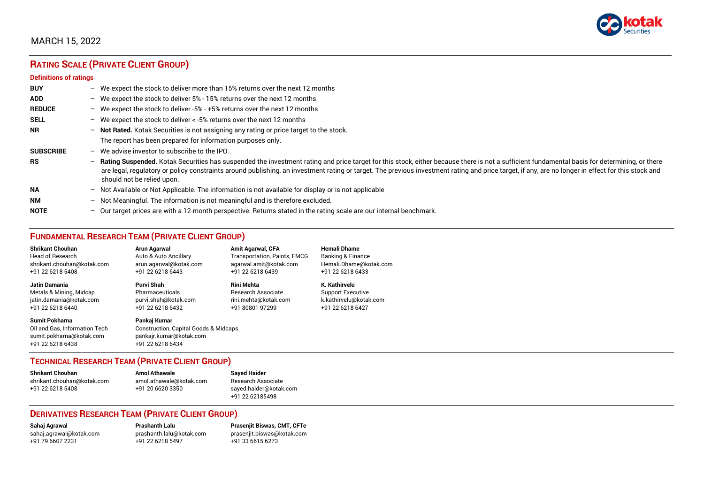

# **RATING SCALE (PRIVATE CLIENT GROUP)**

#### **Definitions of ratings**

| <b>BUY</b>       | - We expect the stock to deliver more than 15% returns over the next 12 months                                                                                                                                                                                                                                                                                                                                                     |
|------------------|------------------------------------------------------------------------------------------------------------------------------------------------------------------------------------------------------------------------------------------------------------------------------------------------------------------------------------------------------------------------------------------------------------------------------------|
| <b>ADD</b>       | - We expect the stock to deliver 5% - 15% returns over the next 12 months                                                                                                                                                                                                                                                                                                                                                          |
| <b>REDUCE</b>    | - We expect the stock to deliver -5% - +5% returns over the next 12 months                                                                                                                                                                                                                                                                                                                                                         |
| <b>SELL</b>      | - We expect the stock to deliver $\lt$ -5% returns over the next 12 months                                                                                                                                                                                                                                                                                                                                                         |
| <b>NR</b>        | - Not Rated. Kotak Securities is not assigning any rating or price target to the stock.                                                                                                                                                                                                                                                                                                                                            |
|                  | The report has been prepared for information purposes only.                                                                                                                                                                                                                                                                                                                                                                        |
| <b>SUBSCRIBE</b> | $-$ We advise investor to subscribe to the IPO.                                                                                                                                                                                                                                                                                                                                                                                    |
| <b>RS</b>        | - Rating Suspended. Kotak Securities has suspended the investment rating and price target for this stock, either because there is not a sufficient fundamental basis for determining, or there<br>are legal, regulatory or policy constraints around publishing, an investment rating or target. The previous investment rating and price target, if any, are no longer in effect for this stock and<br>should not be relied upon. |
| <b>NA</b>        | $-$ Not Available or Not Applicable. The information is not available for display or is not applicable                                                                                                                                                                                                                                                                                                                             |
| <b>NM</b>        | - Not Meaningful. The information is not meaningful and is therefore excluded.                                                                                                                                                                                                                                                                                                                                                     |
| <b>NOTE</b>      | $-$ Our target prices are with a 12-month perspective. Returns stated in the rating scale are our internal benchmark.                                                                                                                                                                                                                                                                                                              |

# **FUNDAMENTAL RESEARCH TEAM (PRIVATE CLIENT GROUP)**

| <b>Shrikant Chouhan</b>                                                                                | Arun Agarwal                                                                                         | <b>Amit Agarwal, CFA</b>            | <b>Hemali Dhame</b>          |
|--------------------------------------------------------------------------------------------------------|------------------------------------------------------------------------------------------------------|-------------------------------------|------------------------------|
| <b>Head of Research</b>                                                                                | Auto & Auto Ancillary                                                                                | <b>Transportation, Paints, FMCG</b> | <b>Banking &amp; Finance</b> |
| shrikant.chouhan@kotak.com                                                                             | arun.agarwal@kotak.com                                                                               | agarwal.amit@kotak.com              | Hemali.Dhame@kotak.com       |
| +91 22 6218 5408                                                                                       | +91 22 6218 6443                                                                                     | +91 22 6218 6439                    | +91 22 6218 6433             |
| <b>Jatin Damania</b>                                                                                   | Purvi Shah                                                                                           | <b>Rini Mehta</b>                   | K. Kathirvelu                |
| Metals & Mining, Midcap                                                                                | Pharmaceuticals                                                                                      | <b>Research Associate</b>           | <b>Support Executive</b>     |
| jatin.damania@kotak.com                                                                                | purvi.shah@kotak.com                                                                                 | rini.mehta@kotak.com                | k.kathirvelu@kotak.com       |
| +91 22 6218 6440                                                                                       | +91 22 6218 6432                                                                                     | +91 80801 97299                     | +91 22 6218 6427             |
| <b>Sumit Pokharna</b><br>Oil and Gas. Information Tech<br>sumit.pokharna@kotak.com<br>+91 22 6218 6438 | Pankai Kumar<br>Construction, Capital Goods & Midcaps<br>pankajr.kumar@kotak.com<br>+91 22 6218 6434 |                                     |                              |

#### **TECHNICAL RESEARCH TEAM (PRIVATE CLIENT GROUP)**

| <b>Shrikant Chouhan</b>    | <b>Amol Athawale</b>    |  |
|----------------------------|-------------------------|--|
| shrikant.chouhan@kotak.com | amol.athawale@kotak.com |  |
| +91 22 6218 5408           | +91 20 6620 3350        |  |
|                            |                         |  |

**Sayed Haider** Research Associate [sayed.haider@kotak.com](mailto:sayed.haider@kotak.com) +91 22 62185498

#### **DERIVATIVES RESEARCH TEAM (PRIVATE CLIENT GROUP)**

+91 22 6218 5497 +91 33 6615 6273

**Sahaj Agrawal Prashanth Lalu Prasenjit Biswas, CMT, CFTe** [sahaj.agrawal@kotak.com](mailto:sahaj.agrawal@kotak.com) [prashanth.lalu@kotak.com](mailto:prashanth.lalu@kotak.com) [prasenjit.biswas@kotak.com](mailto:prasenjit.biswas@kotak.com)